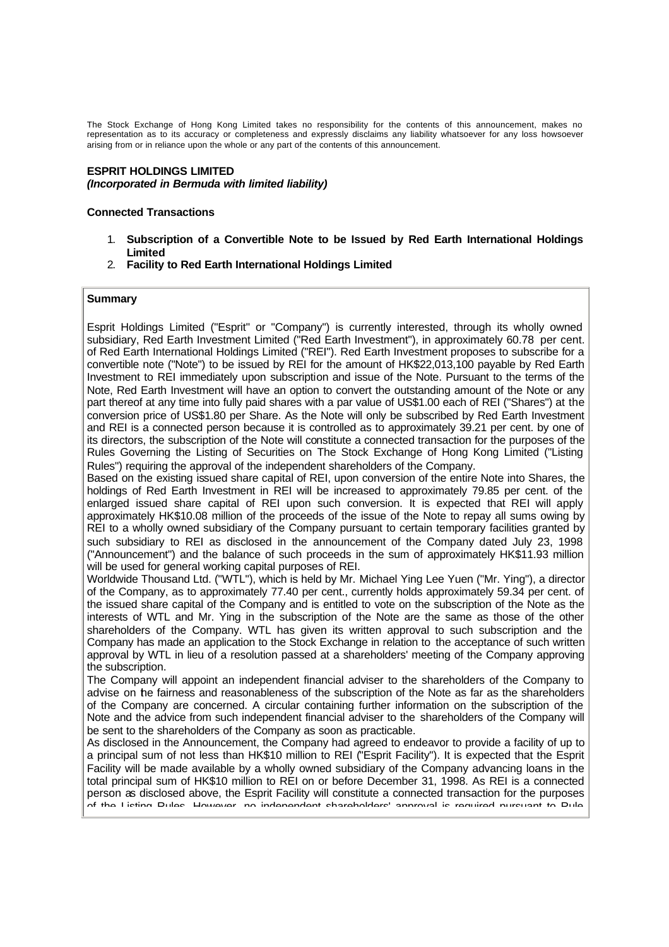The Stock Exchange of Hong Kong Limited takes no responsibility for the contents of this announcement, makes no representation as to its accuracy or completeness and expressly disclaims any liability whatsoever for any loss howsoever arising from or in reliance upon the whole or any part of the contents of this announcement.

### **ESPRIT HOLDINGS LIMITED** *(Incorporated in Bermuda with limited liability)*

### **Connected Transactions**

- 1. **Subscription of a Convertible Note to be Issued by Red Earth International Holdings Limited**
- 2. **Facility to Red Earth International Holdings Limited**

## **Summary**

Esprit Holdings Limited ("Esprit" or "Company") is currently interested, through its wholly owned subsidiary, Red Earth Investment Limited ("Red Earth Investment"), in approximately 60.78 per cent. of Red Earth International Holdings Limited ("REI"). Red Earth Investment proposes to subscribe for a convertible note ("Note") to be issued by REI for the amount of HK\$22,013,100 payable by Red Earth Investment to REI immediately upon subscription and issue of the Note. Pursuant to the terms of the Note, Red Earth Investment will have an option to convert the outstanding amount of the Note or any part thereof at any time into fully paid shares with a par value of US\$1.00 each of REI ("Shares") at the conversion price of US\$1.80 per Share. As the Note will only be subscribed by Red Earth Investment and REI is a connected person because it is controlled as to approximately 39.21 per cent. by one of its directors, the subscription of the Note will constitute a connected transaction for the purposes of the Rules Governing the Listing of Securities on The Stock Exchange of Hong Kong Limited ("Listing Rules") requiring the approval of the independent shareholders of the Company.

Based on the existing issued share capital of REI, upon conversion of the entire Note into Shares, the holdings of Red Earth Investment in REI will be increased to approximately 79.85 per cent. of the enlarged issued share capital of REI upon such conversion. It is expected that REI will apply approximately HK\$10.08 million of the proceeds of the issue of the Note to repay all sums owing by REI to a wholly owned subsidiary of the Company pursuant to certain temporary facilities granted by such subsidiary to REI as disclosed in the announcement of the Company dated July 23, 1998 ("Announcement") and the balance of such proceeds in the sum of approximately HK\$11.93 million will be used for general working capital purposes of REI.

Worldwide Thousand Ltd. ("WTL"), which is held by Mr. Michael Ying Lee Yuen ("Mr. Ying"), a director of the Company, as to approximately 77.40 per cent., currently holds approximately 59.34 per cent. of the issued share capital of the Company and is entitled to vote on the subscription of the Note as the interests of WTL and Mr. Ying in the subscription of the Note are the same as those of the other shareholders of the Company. WTL has given its written approval to such subscription and the Company has made an application to the Stock Exchange in relation to the acceptance of such written approval by WTL in lieu of a resolution passed at a shareholders' meeting of the Company approving the subscription.

The Company will appoint an independent financial adviser to the shareholders of the Company to advise on the fairness and reasonableness of the subscription of the Note as far as the shareholders of the Company are concerned. A circular containing further information on the subscription of the Note and the advice from such independent financial adviser to the shareholders of the Company will be sent to the shareholders of the Company as soon as practicable.

As disclosed in the Announcement, the Company had agreed to endeavor to provide a facility of up to a principal sum of not less than HK\$10 million to REI ("Esprit Facility"). It is expected that the Esprit Facility will be made available by a wholly owned subsidiary of the Company advancing loans in the total principal sum of HK\$10 million to REI on or before December 31, 1998. As REI is a connected person as disclosed above, the Esprit Facility will constitute a connected transaction for the purposes of the Listing Rules. However, no independent shareholders' approval is required pursuant to Rule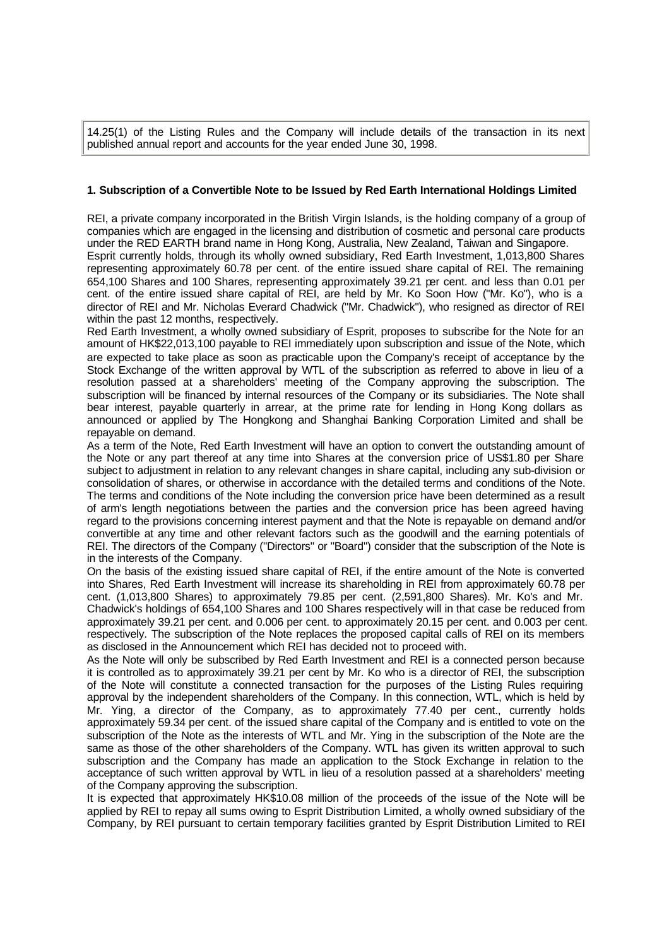14.25(1) of the Listing Rules and the Company will include details of the transaction in its next published annual report and accounts for the year ended June 30, 1998.

## **1. Subscription of a Convertible Note to be Issued by Red Earth International Holdings Limited**

REI, a private company incorporated in the British Virgin Islands, is the holding company of a group of companies which are engaged in the licensing and distribution of cosmetic and personal care products under the RED EARTH brand name in Hong Kong, Australia, New Zealand, Taiwan and Singapore. Esprit currently holds, through its wholly owned subsidiary, Red Earth Investment, 1,013,800 Shares

representing approximately 60.78 per cent. of the entire issued share capital of REI. The remaining 654,100 Shares and 100 Shares, representing approximately 39.21 per cent. and less than 0.01 per cent. of the entire issued share capital of REI, are held by Mr. Ko Soon How ("Mr. Ko"), who is a director of REI and Mr. Nicholas Everard Chadwick ("Mr. Chadwick"), who resigned as director of REI within the past 12 months, respectively.

Red Earth Investment, a wholly owned subsidiary of Esprit, proposes to subscribe for the Note for an amount of HK\$22,013,100 payable to REI immediately upon subscription and issue of the Note, which are expected to take place as soon as practicable upon the Company's receipt of acceptance by the Stock Exchange of the written approval by WTL of the subscription as referred to above in lieu of a resolution passed at a shareholders' meeting of the Company approving the subscription. The subscription will be financed by internal resources of the Company or its subsidiaries. The Note shall bear interest, payable quarterly in arrear, at the prime rate for lending in Hong Kong dollars as announced or applied by The Hongkong and Shanghai Banking Corporation Limited and shall be repayable on demand.

As a term of the Note, Red Earth Investment will have an option to convert the outstanding amount of the Note or any part thereof at any time into Shares at the conversion price of US\$1.80 per Share subject to adjustment in relation to any relevant changes in share capital, including any sub-division or consolidation of shares, or otherwise in accordance with the detailed terms and conditions of the Note. The terms and conditions of the Note including the conversion price have been determined as a result of arm's length negotiations between the parties and the conversion price has been agreed having regard to the provisions concerning interest payment and that the Note is repayable on demand and/or convertible at any time and other relevant factors such as the goodwill and the earning potentials of REI. The directors of the Company ("Directors" or "Board") consider that the subscription of the Note is in the interests of the Company.

On the basis of the existing issued share capital of REI, if the entire amount of the Note is converted into Shares, Red Earth Investment will increase its shareholding in REI from approximately 60.78 per cent. (1,013,800 Shares) to approximately 79.85 per cent. (2,591,800 Shares). Mr. Ko's and Mr. Chadwick's holdings of 654,100 Shares and 100 Shares respectively will in that case be reduced from approximately 39.21 per cent. and 0.006 per cent. to approximately 20.15 per cent. and 0.003 per cent. respectively. The subscription of the Note replaces the proposed capital calls of REI on its members as disclosed in the Announcement which REI has decided not to proceed with.

As the Note will only be subscribed by Red Earth Investment and REI is a connected person because it is controlled as to approximately 39.21 per cent by Mr. Ko who is a director of REI, the subscription of the Note will constitute a connected transaction for the purposes of the Listing Rules requiring approval by the independent shareholders of the Company. In this connection, WTL, which is held by Mr. Ying, a director of the Company, as to approximately 77.40 per cent., currently holds approximately 59.34 per cent. of the issued share capital of the Company and is entitled to vote on the subscription of the Note as the interests of WTL and Mr. Ying in the subscription of the Note are the same as those of the other shareholders of the Company. WTL has given its written approval to such subscription and the Company has made an application to the Stock Exchange in relation to the acceptance of such written approval by WTL in lieu of a resolution passed at a shareholders' meeting of the Company approving the subscription.

It is expected that approximately HK\$10.08 million of the proceeds of the issue of the Note will be applied by REI to repay all sums owing to Esprit Distribution Limited, a wholly owned subsidiary of the Company, by REI pursuant to certain temporary facilities granted by Esprit Distribution Limited to REI